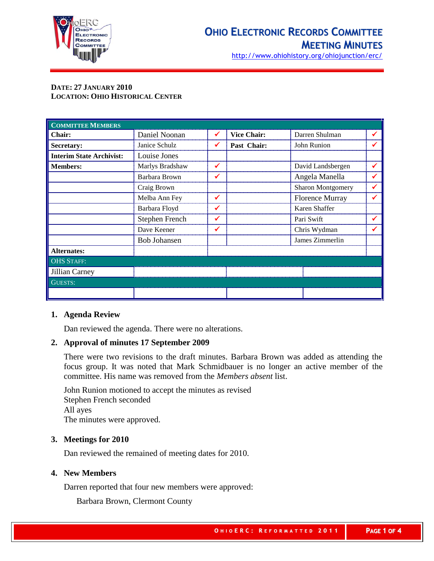

http://www.ohiohistory.org/ohiojunction/erc/

## **DATE: 27 JANUARY 2010 LOCATION: OHIO HISTORICAL CENTER**

| <b>COMMITTEE MEMBERS</b>        |                     |   |                    |                          |  |
|---------------------------------|---------------------|---|--------------------|--------------------------|--|
| Chair:                          | Daniel Noonan       |   | <b>Vice Chair:</b> | Darren Shulman           |  |
| Secretary:                      | Janice Schulz       |   | Past Chair:        | John Runion              |  |
| <b>Interim State Archivist:</b> | Louise Jones        |   |                    |                          |  |
| <b>Members:</b>                 | Marlys Bradshaw     |   |                    | David Landsbergen        |  |
|                                 | Barbara Brown       |   |                    | Angela Manella           |  |
|                                 | Craig Brown         |   |                    | <b>Sharon Montgomery</b> |  |
|                                 | Melba Ann Fey       | ✔ |                    | <b>Florence Murray</b>   |  |
|                                 | Barbara Floyd       |   |                    | Karen Shaffer            |  |
|                                 | Stephen French      |   |                    | Pari Swift               |  |
|                                 | Dave Keener         |   |                    | Chris Wydman             |  |
|                                 | <b>Bob Johansen</b> |   |                    | James Zimmerlin          |  |
| <b>Alternates:</b>              |                     |   |                    |                          |  |
| <b>OHS STAFF:</b>               |                     |   |                    |                          |  |
| Jillian Carney                  |                     |   |                    |                          |  |
| <b>GUESTS:</b>                  |                     |   |                    |                          |  |
|                                 |                     |   |                    |                          |  |

## **1. Agenda Review**

Dan reviewed the agenda. There were no alterations.

# **2. Approval of minutes 17 September 2009**

There were two revisions to the draft minutes. Barbara Brown was added as attending the focus group. It was noted that Mark Schmidbauer is no longer an active member of the committee. His name was removed from the *Members absent* list.

John Runion motioned to accept the minutes as revised Stephen French seconded All ayes The minutes were approved.

## **3. Meetings for 2010**

Dan reviewed the remained of meeting dates for 2010.

## **4. New Members**

Darren reported that four new members were approved:

Barbara Brown, Clermont County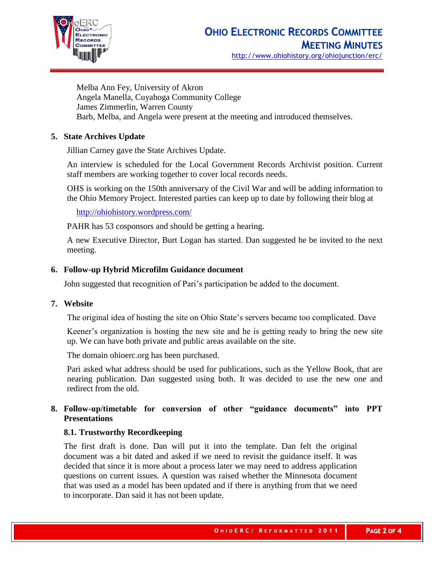

Melba Ann Fey, University of Akron Angela Manella, Cuyahoga Community College James Zimmerlin, Warren County Barb, Melba, and Angela were present at the meeting and introduced themselves.

# **5. State Archives Update**

Jillian Carney gave the State Archives Update.

An interview is scheduled for the Local Government Records Archivist position. Current staff members are working together to cover local records needs.

OHS is working on the 150th anniversary of the Civil War and will be adding information to the Ohio Memory Project. Interested parties can keep up to date by following their blog at

<http://ohiohistory.wordpress.com/>

PAHR has 53 cosponsors and should be getting a hearing.

A new Executive Director, Burt Logan has started. Dan suggested he be invited to the next meeting.

#### **6. Follow-up Hybrid Microfilm Guidance document**

John suggested that recognition of Pari's participation be added to the document.

#### **7. Website**

The original idea of hosting the site on Ohio State's servers became too complicated. Dave

Keener's organization is hosting the new site and he is getting ready to bring the new site up. We can have both private and public areas available on the site.

The domain ohioerc.org has been purchased.

Pari asked what address should be used for publications, such as the Yellow Book, that are nearing publication. Dan suggested using both. It was decided to use the new one and redirect from the old.

# **8. Follow-up/timetable for conversion of other "guidance documents" into PPT Presentations**

## **8.1. Trustworthy Recordkeeping**

The first draft is done. Dan will put it into the template. Dan felt the original document was a bit dated and asked if we need to revisit the guidance itself. It was decided that since it is more about a process later we may need to address application questions on current issues. A question was raised whether the Minnesota document that was used as a model has been updated and if there is anything from that we need to incorporate. Dan said it has not been update.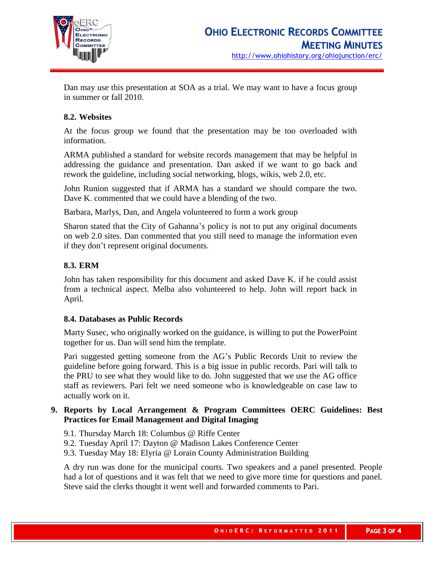

Dan may use this presentation at SOA as a trial. We may want to have a focus group in summer or fall 2010.

# **8.2. Websites**

At the focus group we found that the presentation may be too overloaded with information.

ARMA published a standard for website records management that may be helpful in addressing the guidance and presentation. Dan asked if we want to go back and rework the guideline, including social networking, blogs, wikis, web 2.0, etc.

John Runion suggested that if ARMA has a standard we should compare the two. Dave K. commented that we could have a blending of the two.

Barbara, Marlys, Dan, and Angela volunteered to form a work group

Sharon stated that the City of Gahanna's policy is not to put any original documents on web 2.0 sites. Dan commented that you still need to manage the information even if they don't represent original documents.

# **8.3. ERM**

John has taken responsibility for this document and asked Dave K. if he could assist from a technical aspect. Melba also volunteered to help. John will report back in April.

## **8.4. Databases as Public Records**

Marty Susec, who originally worked on the guidance, is willing to put the PowerPoint together for us. Dan will send him the template.

Pari suggested getting someone from the AG's Public Records Unit to review the guideline before going forward. This is a big issue in public records. Pari will talk to the PRU to see what they would like to do. John suggested that we use the AG office staff as reviewers. Pari felt we need someone who is knowledgeable on case law to actually work on it.

# **9. Reports by Local Arrangement & Program Committees OERC Guidelines: Best Practices for Email Management and Digital Imaging**

- 9.1. Thursday March 18: Columbus @ Riffe Center
- 9.2. Tuesday April 17: Dayton @ Madison Lakes Conference Center
- 9.3. Tuesday May 18: Elyria @ Lorain County Administration Building

A dry run was done for the municipal courts. Two speakers and a panel presented. People had a lot of questions and it was felt that we need to give more time for questions and panel. Steve said the clerks thought it went well and forwarded comments to Pari.